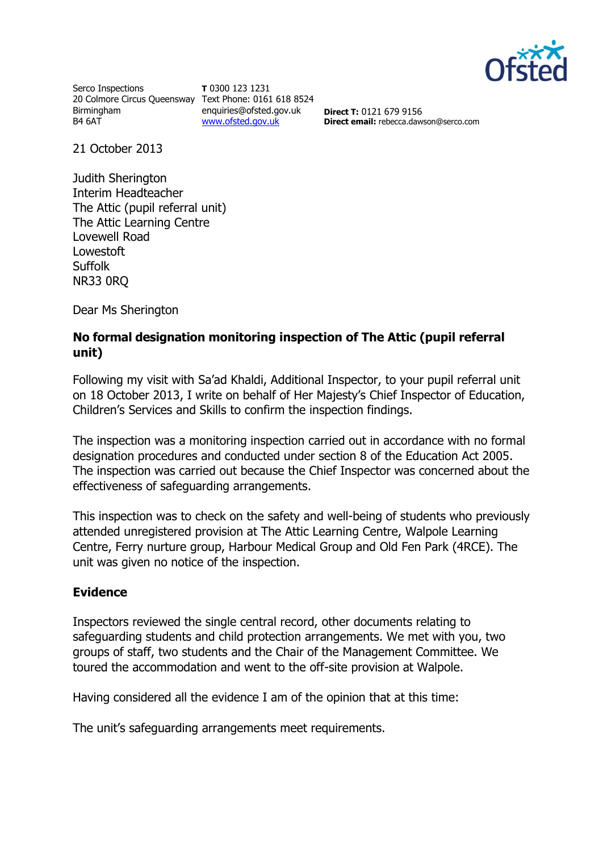

Serco Inspections 20 Colmore Circus Queensway Text Phone: 0161 618 8524 Birmingham B4 6AT

**T** 0300 123 1231 enquiries@ofsted.gov.uk [www.ofsted.gov.uk](http://www.ofsted.gov.uk/)

**Direct T:** 0121 679 9156 **Direct email:** rebecca.dawson@serco.com

21 October 2013

Judith Sherington Interim Headteacher The Attic (pupil referral unit) The Attic Learning Centre Lovewell Road Lowestoft **Suffolk** NR33 0RQ

Dear Ms Sherington

# **No formal designation monitoring inspection of The Attic (pupil referral unit)**

Following my visit with Sa'ad Khaldi, Additional Inspector, to your pupil referral unit on 18 October 2013, I write on behalf of Her Majesty's Chief Inspector of Education, Children's Services and Skills to confirm the inspection findings.

The inspection was a monitoring inspection carried out in accordance with no formal designation procedures and conducted under section 8 of the Education Act 2005. The inspection was carried out because the Chief Inspector was concerned about the effectiveness of safeguarding arrangements.

This inspection was to check on the safety and well-being of students who previously attended unregistered provision at The Attic Learning Centre, Walpole Learning Centre, Ferry nurture group, Harbour Medical Group and Old Fen Park (4RCE). The unit was given no notice of the inspection.

### **Evidence**

Inspectors reviewed the single central record, other documents relating to safeguarding students and child protection arrangements. We met with you, two groups of staff, two students and the Chair of the Management Committee. We toured the accommodation and went to the off-site provision at Walpole.

Having considered all the evidence I am of the opinion that at this time:

The unit's safeguarding arrangements meet requirements.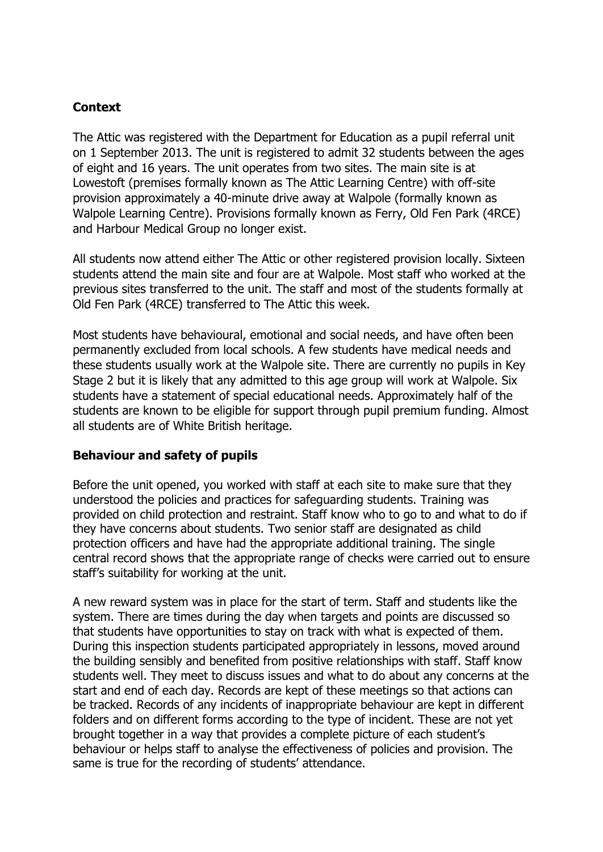# **Context**

The Attic was registered with the Department for Education as a pupil referral unit on 1 September 2013. The unit is registered to admit 32 students between the ages of eight and 16 years. The unit operates from two sites. The main site is at Lowestoft (premises formally known as The Attic Learning Centre) with off-site provision approximately a 40-minute drive away at Walpole (formally known as Walpole Learning Centre). Provisions formally known as Ferry, Old Fen Park (4RCE) and Harbour Medical Group no longer exist.

All students now attend either The Attic or other registered provision locally. Sixteen students attend the main site and four are at Walpole. Most staff who worked at the previous sites transferred to the unit. The staff and most of the students formally at Old Fen Park (4RCE) transferred to The Attic this week.

Most students have behavioural, emotional and social needs, and have often been permanently excluded from local schools. A few students have medical needs and these students usually work at the Walpole site. There are currently no pupils in Key Stage 2 but it is likely that any admitted to this age group will work at Walpole. Six students have a statement of special educational needs. Approximately half of the students are known to be eligible for support through pupil premium funding. Almost all students are of White British heritage.

### **Behaviour and safety of pupils**

Before the unit opened, you worked with staff at each site to make sure that they understood the policies and practices for safeguarding students. Training was provided on child protection and restraint. Staff know who to go to and what to do if they have concerns about students. Two senior staff are designated as child protection officers and have had the appropriate additional training. The single central record shows that the appropriate range of checks were carried out to ensure staff's suitability for working at the unit.

A new reward system was in place for the start of term. Staff and students like the system. There are times during the day when targets and points are discussed so that students have opportunities to stay on track with what is expected of them. During this inspection students participated appropriately in lessons, moved around the building sensibly and benefited from positive relationships with staff. Staff know students well. They meet to discuss issues and what to do about any concerns at the start and end of each day. Records are kept of these meetings so that actions can be tracked. Records of any incidents of inappropriate behaviour are kept in different folders and on different forms according to the type of incident. These are not yet brought together in a way that provides a complete picture of each student's behaviour or helps staff to analyse the effectiveness of policies and provision. The same is true for the recording of students' attendance.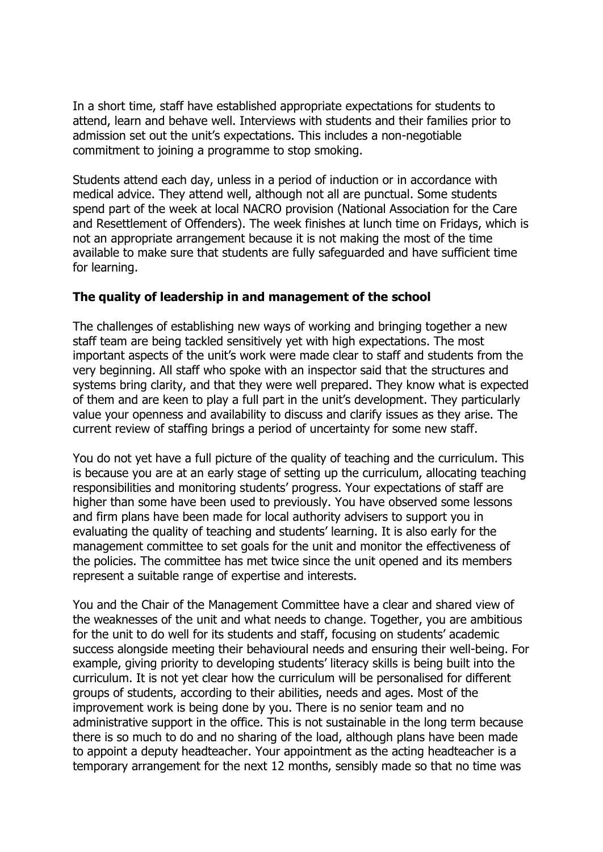In a short time, staff have established appropriate expectations for students to attend, learn and behave well. Interviews with students and their families prior to admission set out the unit's expectations. This includes a non-negotiable commitment to joining a programme to stop smoking.

Students attend each day, unless in a period of induction or in accordance with medical advice. They attend well, although not all are punctual. Some students spend part of the week at local NACRO provision (National Association for the Care and Resettlement of Offenders). The week finishes at lunch time on Fridays, which is not an appropriate arrangement because it is not making the most of the time available to make sure that students are fully safeguarded and have sufficient time for learning.

### **The quality of leadership in and management of the school**

The challenges of establishing new ways of working and bringing together a new staff team are being tackled sensitively yet with high expectations. The most important aspects of the unit's work were made clear to staff and students from the very beginning. All staff who spoke with an inspector said that the structures and systems bring clarity, and that they were well prepared. They know what is expected of them and are keen to play a full part in the unit's development. They particularly value your openness and availability to discuss and clarify issues as they arise. The current review of staffing brings a period of uncertainty for some new staff.

You do not yet have a full picture of the quality of teaching and the curriculum. This is because you are at an early stage of setting up the curriculum, allocating teaching responsibilities and monitoring students' progress. Your expectations of staff are higher than some have been used to previously. You have observed some lessons and firm plans have been made for local authority advisers to support you in evaluating the quality of teaching and students' learning. It is also early for the management committee to set goals for the unit and monitor the effectiveness of the policies. The committee has met twice since the unit opened and its members represent a suitable range of expertise and interests.

You and the Chair of the Management Committee have a clear and shared view of the weaknesses of the unit and what needs to change. Together, you are ambitious for the unit to do well for its students and staff, focusing on students' academic success alongside meeting their behavioural needs and ensuring their well-being. For example, giving priority to developing students' literacy skills is being built into the curriculum. It is not yet clear how the curriculum will be personalised for different groups of students, according to their abilities, needs and ages. Most of the improvement work is being done by you. There is no senior team and no administrative support in the office. This is not sustainable in the long term because there is so much to do and no sharing of the load, although plans have been made to appoint a deputy headteacher. Your appointment as the acting headteacher is a temporary arrangement for the next 12 months, sensibly made so that no time was